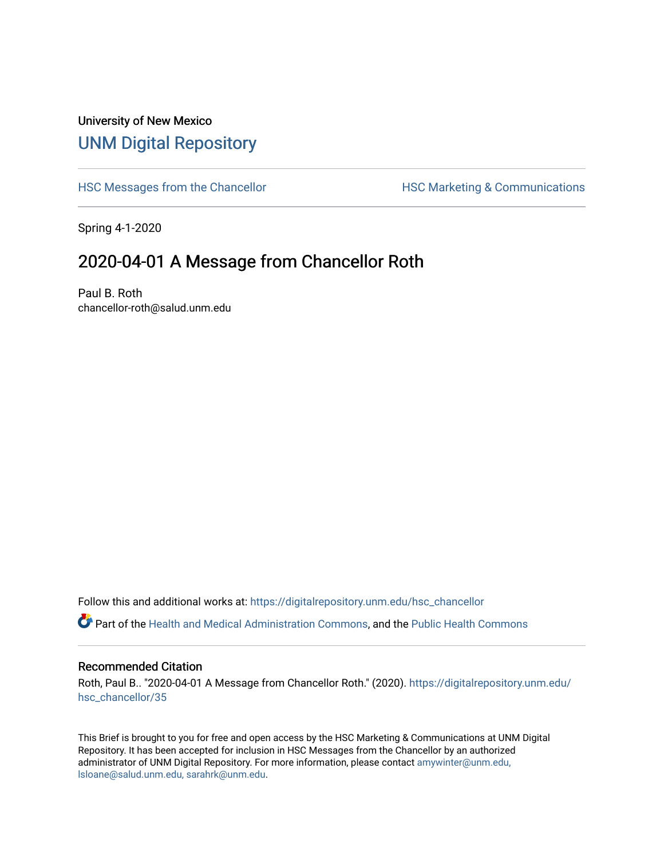## University of New Mexico [UNM Digital Repository](https://digitalrepository.unm.edu/)

[HSC Messages from the Chancellor](https://digitalrepository.unm.edu/hsc_chancellor) **HSC Marketing & Communications** 

Spring 4-1-2020

## 2020-04-01 A Message from Chancellor Roth

Paul B. Roth chancellor-roth@salud.unm.edu

Follow this and additional works at: [https://digitalrepository.unm.edu/hsc\\_chancellor](https://digitalrepository.unm.edu/hsc_chancellor?utm_source=digitalrepository.unm.edu%2Fhsc_chancellor%2F35&utm_medium=PDF&utm_campaign=PDFCoverPages) 

Part of the [Health and Medical Administration Commons](http://network.bepress.com/hgg/discipline/663?utm_source=digitalrepository.unm.edu%2Fhsc_chancellor%2F35&utm_medium=PDF&utm_campaign=PDFCoverPages), and the [Public Health Commons](http://network.bepress.com/hgg/discipline/738?utm_source=digitalrepository.unm.edu%2Fhsc_chancellor%2F35&utm_medium=PDF&utm_campaign=PDFCoverPages) 

## Recommended Citation

Roth, Paul B.. "2020-04-01 A Message from Chancellor Roth." (2020). [https://digitalrepository.unm.edu/](https://digitalrepository.unm.edu/hsc_chancellor/35?utm_source=digitalrepository.unm.edu%2Fhsc_chancellor%2F35&utm_medium=PDF&utm_campaign=PDFCoverPages) [hsc\\_chancellor/35](https://digitalrepository.unm.edu/hsc_chancellor/35?utm_source=digitalrepository.unm.edu%2Fhsc_chancellor%2F35&utm_medium=PDF&utm_campaign=PDFCoverPages) 

This Brief is brought to you for free and open access by the HSC Marketing & Communications at UNM Digital Repository. It has been accepted for inclusion in HSC Messages from the Chancellor by an authorized administrator of UNM Digital Repository. For more information, please contact [amywinter@unm.edu,](mailto:amywinter@unm.edu,%20lsloane@salud.unm.edu,%20sarahrk@unm.edu) [lsloane@salud.unm.edu, sarahrk@unm.edu.](mailto:amywinter@unm.edu,%20lsloane@salud.unm.edu,%20sarahrk@unm.edu)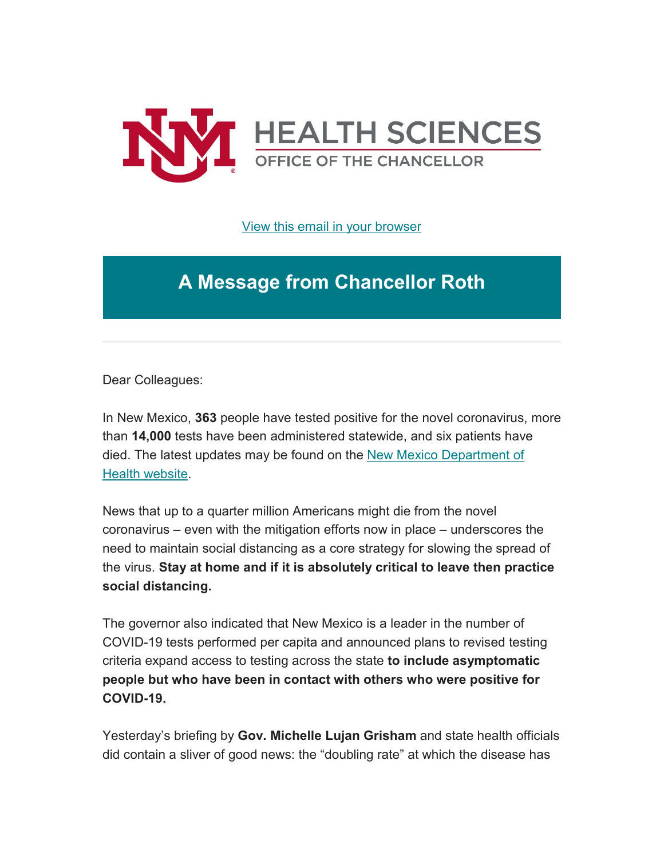

[View this email in your browser](https://mailchi.mp/4ce0214be440/message-from-the-chancellor-coronavirus-4366432?e=b4bbfca2c0)

## **A Message from Chancellor Roth**

Dear Colleagues:

In New Mexico, **363** people have tested positive for the novel coronavirus, more than **14,000** tests have been administered statewide, and six patients have died. The latest updates may be found on the [New Mexico Department of](https://unm.us19.list-manage.com/track/click?u=59ce53c1a4dedb490bac78648&id=060974925e&e=b4bbfca2c0)  [Health website.](https://unm.us19.list-manage.com/track/click?u=59ce53c1a4dedb490bac78648&id=060974925e&e=b4bbfca2c0)

News that up to a quarter million Americans might die from the novel coronavirus – even with the mitigation efforts now in place – underscores the need to maintain social distancing as a core strategy for slowing the spread of the virus. **Stay at home and if it is absolutely critical to leave then practice social distancing.**

The governor also indicated that New Mexico is a leader in the number of COVID-19 tests performed per capita and announced plans to revised testing criteria expand access to testing across the state **to include asymptomatic people but who have been in contact with others who were positive for COVID-19.**

Yesterday's briefing by **Gov. Michelle Lujan Grisham** and state health officials did contain a sliver of good news: the "doubling rate" at which the disease has